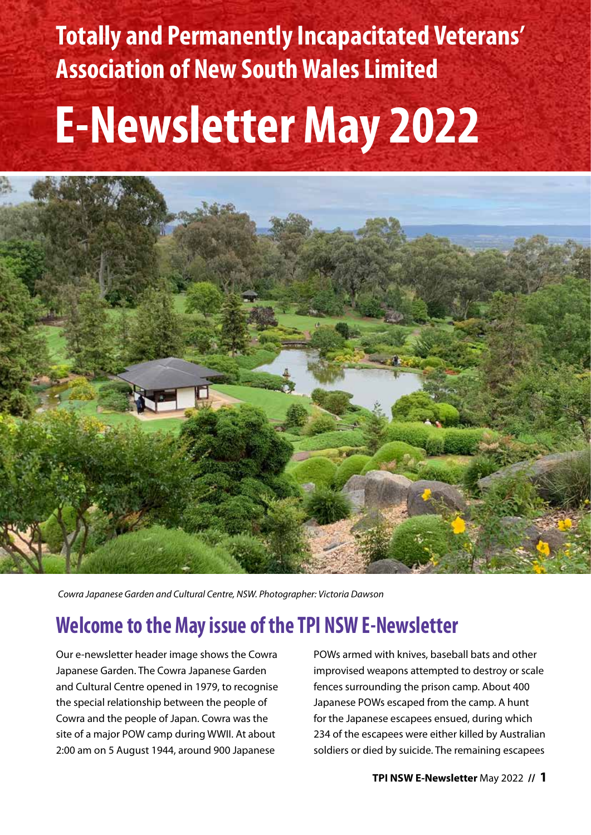**Totally and Permanently Incapacitated Veterans' Association of New South Wales Limited**

## **E-Newsletter May 2022**



*Cowra Japanese Garden and Cultural Centre, NSW. Photographer: Victoria Dawson*

## **Welcome to the May issue of the TPI NSW E-Newsletter**

Our e-newsletter header image shows the Cowra Japanese Garden. The Cowra Japanese Garden and Cultural Centre opened in 1979, to recognise the special relationship between the people of Cowra and the people of Japan. Cowra was the site of a major POW camp during WWII. At about 2:00 am on 5 August 1944, around 900 Japanese

POWs armed with knives, baseball bats and other improvised weapons attempted to destroy or scale fences surrounding the prison camp. About 400 Japanese POWs escaped from the camp. A hunt for the Japanese escapees ensued, during which 234 of the escapees were either killed by Australian soldiers or died by suicide. The remaining escapees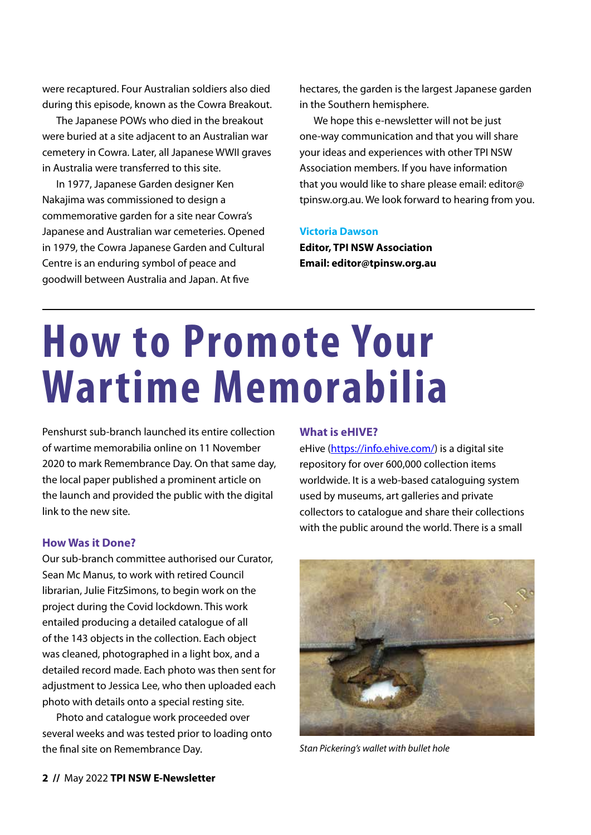were recaptured. Four Australian soldiers also died during this episode, known as the Cowra Breakout.

The Japanese POWs who died in the breakout were buried at a site adjacent to an Australian war cemetery in Cowra. Later, all Japanese WWII graves in Australia were transferred to this site.

In 1977, Japanese Garden designer Ken Nakajima was commissioned to design a commemorative garden for a site near Cowra's Japanese and Australian war cemeteries. Opened in 1979, the Cowra Japanese Garden and Cultural Centre is an enduring symbol of peace and goodwill between Australia and Japan. At five

hectares, the garden is the largest Japanese garden in the Southern hemisphere.

We hope this e-newsletter will not be just one-way communication and that you will share your ideas and experiences with other TPI NSW Association members. If you have information that you would like to share please email: [editor@](mailto:editor@tpinsw.org.au) [tpinsw.org.au.](mailto:editor@tpinsw.org.au) We look forward to hearing from you.

#### **Victoria Dawson**

**Editor, TPI NSW Association Email: [editor@tpinsw.org.au](mailto:editor@tpinsw.org.au)**

## **How to Promote Your Wartime Memorabilia**

Penshurst sub-branch launched its entire collection of wartime memorabilia online on 11 November 2020 to mark Remembrance Day. On that same day, the local paper published a prominent article on the launch and provided the public with the digital link to the new site.

### **How Was it Done?**

Our sub-branch committee authorised our Curator, Sean Mc Manus, to work with retired Council librarian, Julie FitzSimons, to begin work on the project during the Covid lockdown. This work entailed producing a detailed catalogue of all of the 143 objects in the collection. Each object was cleaned, photographed in a light box, and a detailed record made. Each photo was then sent for adjustment to Jessica Lee, who then uploaded each photo with details onto a special resting site.

Photo and catalogue work proceeded over several weeks and was tested prior to loading onto the final site on Remembrance Day.

### **What is eHIVE?**

eHive [\(https://info.ehive.com/\)](https://info.ehive.com/) is a digital site repository for over 600,000 collection items worldwide. It is a web-based cataloguing system used by museums, art galleries and private collectors to catalogue and share their collections with the public around the world. There is a small



*Stan Pickering's wallet with bullet hole*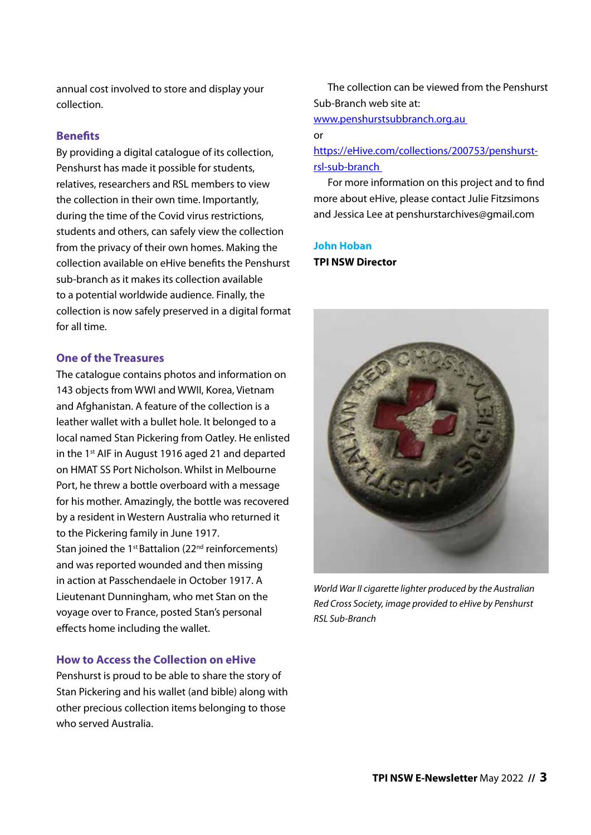annual cost involved to store and display your collection.

### **Benefits**

By providing a digital catalogue of its collection, Penshurst has made it possible for students, relatives, researchers and RSL members to view the collection in their own time. Importantly, during the time of the Covid virus restrictions, students and others, can safely view the collection from the privacy of their own homes. Making the collection available on eHive benefits the Penshurst sub-branch as it makes its collection available to a potential worldwide audience. Finally, the collection is now safely preserved in a digital format for all time.

### **One of the Treasures**

The catalogue contains photos and information on 143 objects from WWI and WWII, Korea, Vietnam and Afghanistan. A feature of the collection is a leather wallet with a bullet hole. It belonged to a local named Stan Pickering from Oatley. He enlisted in the 1st AIF in August 1916 aged 21 and departed on HMAT SS Port Nicholson. Whilst in Melbourne Port, he threw a bottle overboard with a message for his mother. Amazingly, the bottle was recovered by a resident in Western Australia who returned it to the Pickering family in June 1917. Stan joined the 1<sup>st</sup> Battalion (22<sup>nd</sup> reinforcements) and was reported wounded and then missing in action at Passchendaele in October 1917. A Lieutenant Dunningham, who met Stan on the voyage over to France, posted Stan's personal effects home including the wallet.

### **How to Access the Collection on eHive**

Penshurst is proud to be able to share the story of Stan Pickering and his wallet (and bible) along with other precious collection items belonging to those who served Australia.

The collection can be viewed from the Penshurst Sub-Branch web site at:

www.penshurstsubbranch.org.au

### or

[https://eHive.com/collections/200753/penshurst](https://ehive.com/collections/200753/penshurst-rsl-sub-branch)[rsl-sub-branch](https://ehive.com/collections/200753/penshurst-rsl-sub-branch)

For more information on this project and to find more about eHive, please contact Julie Fitzsimons and Jessica Lee at [penshurstarchives@gmail.com](mailto:penshurstarchives@gmail.com) 

### **John Hoban TPI NSW Director**



*World War II cigarette lighter produced by the Australian Red Cross Society, image provided to eHive by Penshurst RSL Sub-Branch*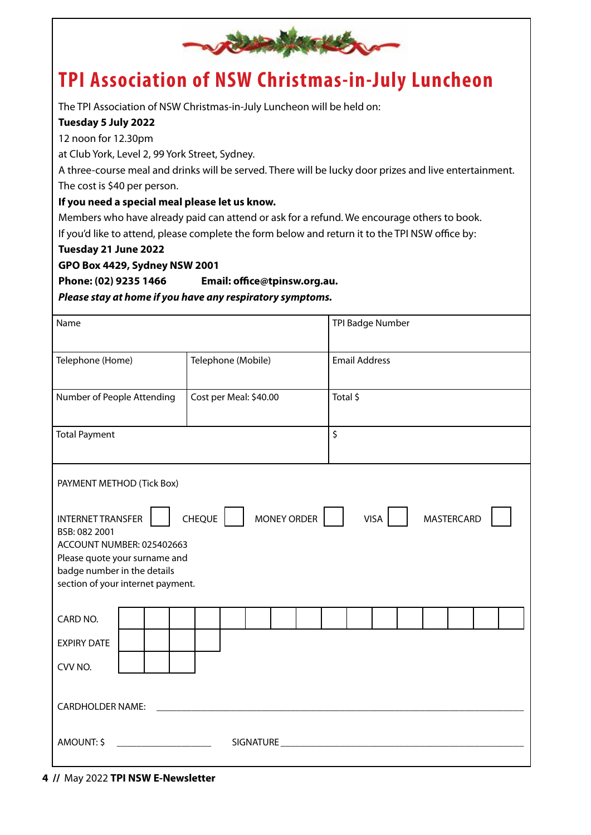

### **TPI Association of NSW Christmas-in-July Luncheon**

The TPI Association of NSW Christmas-in-July Luncheon will be held on:

### **Tuesday 5 July 2022**

12 noon for 12.30pm

at Club York, Level 2, 99 York Street, Sydney.

A three-course meal and drinks will be served. There will be lucky door prizes and live entertainment. The cost is \$40 per person.

### **If you need a special meal please let us know.**

Members who have already paid can attend or ask for a refund. We encourage others to book. If you'd like to attend, please complete the form below and return it to the TPI NSW office by:

### **Tuesday 21 June 2022**

**GPO Box 4429, Sydney NSW 2001**

**Phone: (02) 9235 1466 Email: office@tpinsw.org.au.**

*Please stay at home if you have any respiratory symptoms.*

| Name                                                                                                                                                                                                                                                   |                        |  |  |  | TPI Badge Number     |  |  |  |  |  |  |  |
|--------------------------------------------------------------------------------------------------------------------------------------------------------------------------------------------------------------------------------------------------------|------------------------|--|--|--|----------------------|--|--|--|--|--|--|--|
| Telephone (Home)                                                                                                                                                                                                                                       | Telephone (Mobile)     |  |  |  | <b>Email Address</b> |  |  |  |  |  |  |  |
| Number of People Attending                                                                                                                                                                                                                             | Cost per Meal: \$40.00 |  |  |  | Total \$             |  |  |  |  |  |  |  |
| <b>Total Payment</b>                                                                                                                                                                                                                                   |                        |  |  |  | \$                   |  |  |  |  |  |  |  |
| PAYMENT METHOD (Tick Box)                                                                                                                                                                                                                              |                        |  |  |  |                      |  |  |  |  |  |  |  |
| <b>CHEQUE</b><br><b>MONEY ORDER</b><br><b>MASTERCARD</b><br><b>INTERNET TRANSFER</b><br><b>VISA</b><br>BSB: 082 2001<br>ACCOUNT NUMBER: 025402663<br>Please quote your surname and<br>badge number in the details<br>section of your internet payment. |                        |  |  |  |                      |  |  |  |  |  |  |  |
| CARD NO.                                                                                                                                                                                                                                               |                        |  |  |  |                      |  |  |  |  |  |  |  |
| <b>EXPIRY DATE</b><br>CVV NO.                                                                                                                                                                                                                          |                        |  |  |  |                      |  |  |  |  |  |  |  |
| <b>CARDHOLDER NAME:</b>                                                                                                                                                                                                                                |                        |  |  |  |                      |  |  |  |  |  |  |  |
| AMOUNT: \$<br><b>SIGNATURE</b>                                                                                                                                                                                                                         |                        |  |  |  |                      |  |  |  |  |  |  |  |

**<sup>4 //</sup>** May 2022 **TPI NSW E-Newsletter**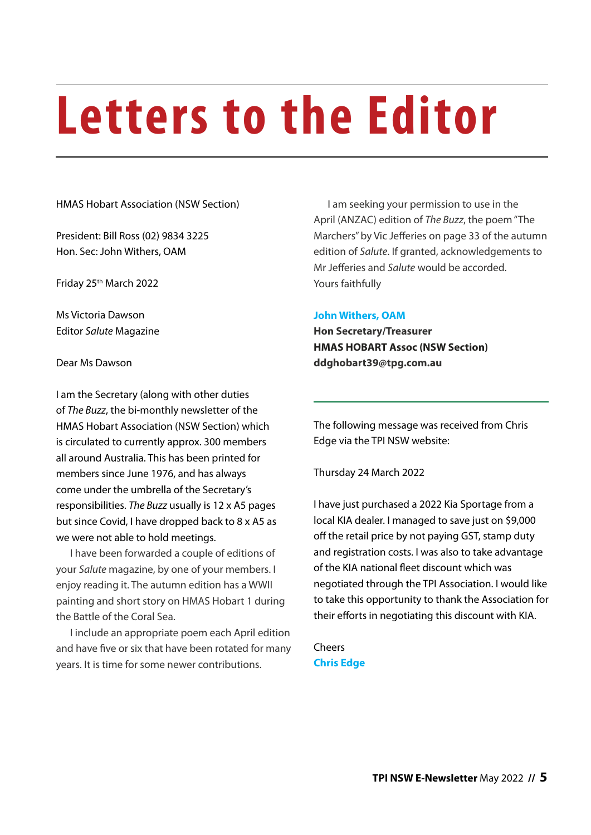# **Letters to the Editor**

HMAS Hobart Association (NSW Section)

President: Bill Ross (02) 9834 3225 Hon. Sec: John Withers, OAM

Friday 25th March 2022

Ms Victoria Dawson Editor *Salute* Magazine

Dear Ms Dawson

I am the Secretary (along with other duties of *The Buzz*, the bi-monthly newsletter of the HMAS Hobart Association (NSW Section) which is circulated to currently approx. 300 members all around Australia. This has been printed for members since June 1976, and has always come under the umbrella of the Secretary's responsibilities. *The Buzz* usually is 12 x A5 pages but since Covid, I have dropped back to 8 x A5 as we were not able to hold meetings.

I have been forwarded a couple of editions of your *Salute* magazine, by one of your members. I enjoy reading it. The autumn edition has a WWII painting and short story on HMAS Hobart 1 during the Battle of the Coral Sea.

I include an appropriate poem each April edition and have five or six that have been rotated for many years. It is time for some newer contributions.

I am seeking your permission to use in the April (ANZAC) edition of *The Buzz*, the poem "The Marchers" by Vic Jefferies on page 33 of the autumn edition of *Salute*. If granted, acknowledgements to Mr Jefferies and *Salute* would be accorded. Yours faithfully

### **John Withers, OAM**

**Hon Secretary/Treasurer HMAS HOBART Assoc (NSW Section) ddghobart39@tpg.com.au**

The following message was received from Chris Edge via the TPI NSW website:

Thursday 24 March 2022

I have just purchased a 2022 Kia Sportage from a local KIA dealer. I managed to save just on \$9,000 off the retail price by not paying GST, stamp duty and registration costs. I was also to take advantage of the KIA national fleet discount which was negotiated through the TPI Association. I would like to take this opportunity to thank the Association for their efforts in negotiating this discount with KIA.

**Cheers Chris Edge**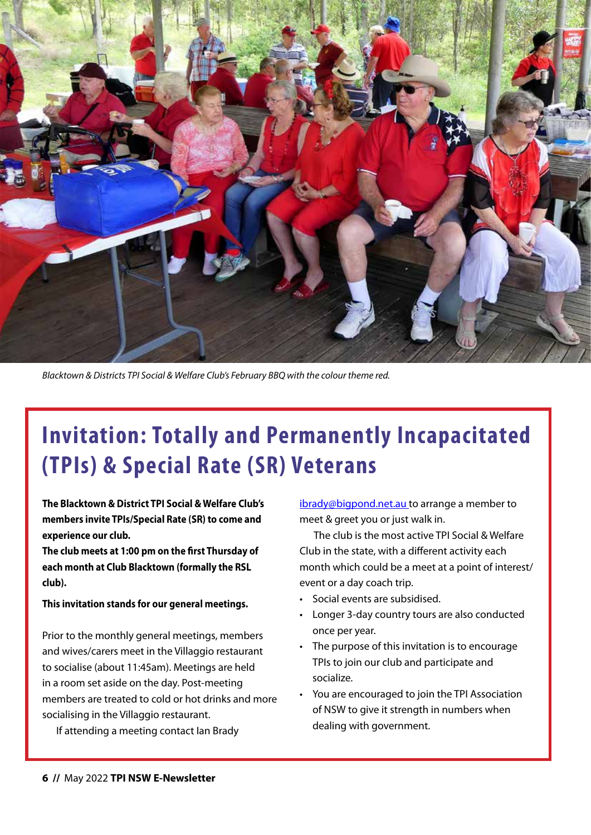

*Blacktown & Districts TPI Social & Welfare Club's February BBQ with the colour theme red.*

## **Invitation: Totally and Permanently Incapacitated (TPIs) & Special Rate (SR) Veterans**

**The Blacktown & District TPI Social & Welfare Club's members invite TPIs/Special Rate (SR) to come and experience our club.**

**The club meets at 1:00 pm on the first Thursday of each month at Club Blacktown (formally the RSL club).**

### **This invitation stands for our general meetings.**

Prior to the monthly general meetings, members and wives/carers meet in the Villaggio restaurant to socialise (about 11:45am). Meetings are held in a room set aside on the day. Post-meeting members are treated to cold or hot drinks and more socialising in the Villaggio restaurant.

If attending a meeting contact Ian Brady

[ibrady@bigpond.net.au](mailto:ibrady@bigpond.net.au) to arrange a member to meet & greet you or just walk in.

The club is the most active TPI Social & Welfare Club in the state, with a different activity each month which could be a meet at a point of interest/ event or a day coach trip.

- Social events are subsidised.
- Longer 3-day country tours are also conducted once per year.
- The purpose of this invitation is to encourage TPIs to join our club and participate and socialize.
- You are encouraged to join the TPI Association of NSW to give it strength in numbers when dealing with government.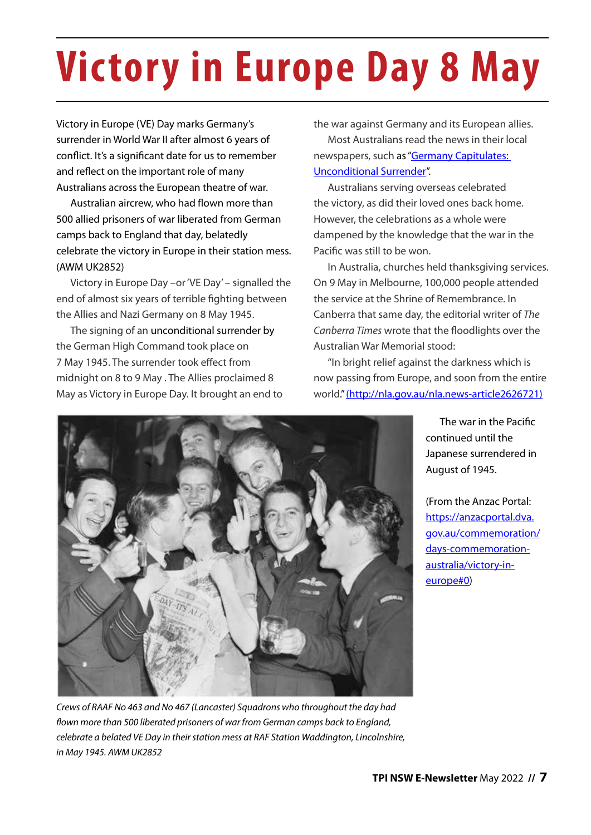# **Victory in Europe Day 8 May**

Victory in Europe (VE) Day marks Germany's surrender in World War II after almost 6 years of conflict. It's a significant date for us to remember and reflect on the important role of many Australians across the European theatre of war.

Australian aircrew, who had flown more than 500 allied prisoners of war liberated from German camps back to England that day, belatedly celebrate the victory in Europe in their station mess. (AWM UK2852)

Victory in Europe Day –or 'VE Day' – signalled the end of almost six years of terrible fighting between the Allies and Nazi Germany on 8 May 1945.

The signing of an [unconditional surrender](https://en.wikipedia.org/wiki/German_Instrument_of_Surrender) by the German High Command took place on 7 May 1945. The surrender took effect from midnight on 8 to 9 May . The Allies proclaimed 8 May as Victory in Europe Day. It brought an end to the war against Germany and its European allies.

Most Australians read the news in their local newspapers, such as ["Germany Capitulates:](https://anzacportal.dva.gov.au/resources/germany-capitulates-1945-newsclip)  [Unconditional Surrender"](https://anzacportal.dva.gov.au/resources/germany-capitulates-1945-newsclip).

Australians serving overseas celebrated the victory, as did their loved ones back home. However, the celebrations as a whole were dampened by the knowledge that the war in the Pacific was still to be won.

In Australia, churches held thanksgiving services. On 9 May in Melbourne, 100,000 people attended the service at the Shrine of Remembrance. In Canberra that same day, the editorial writer of *The Canberra Times* wrote that the floodlights over the Australian War Memorial stood:

"In bright relief against the darkness which is now passing from Europe, and soon from the entire world." ([http://nla.gov.au/nla.news-article2626721\)](http://nla.gov.au/nla.news-article2626721)



The war in the Pacific continued until the Japanese surrendered in August of 1945.

(From the Anzac Portal: [https://anzacportal.dva.](https://anzacportal.dva.gov.au/commemoration/days-commemoration-australia/victory-in-europe#0) [gov.au/commemoration/](https://anzacportal.dva.gov.au/commemoration/days-commemoration-australia/victory-in-europe#0) [days-commemoration](https://anzacportal.dva.gov.au/commemoration/days-commemoration-australia/victory-in-europe#0)[australia/victory-in](https://anzacportal.dva.gov.au/commemoration/days-commemoration-australia/victory-in-europe#0)[europe#0\)](https://anzacportal.dva.gov.au/commemoration/days-commemoration-australia/victory-in-europe#0)

*Crews of RAAF No 463 and No 467 (Lancaster) Squadrons who throughout the day had flown more than 500 liberated prisoners of war from German camps back to England, celebrate a belated VE Day in their station mess at RAF Station Waddington, Lincolnshire, in May 1945. AWM UK2852*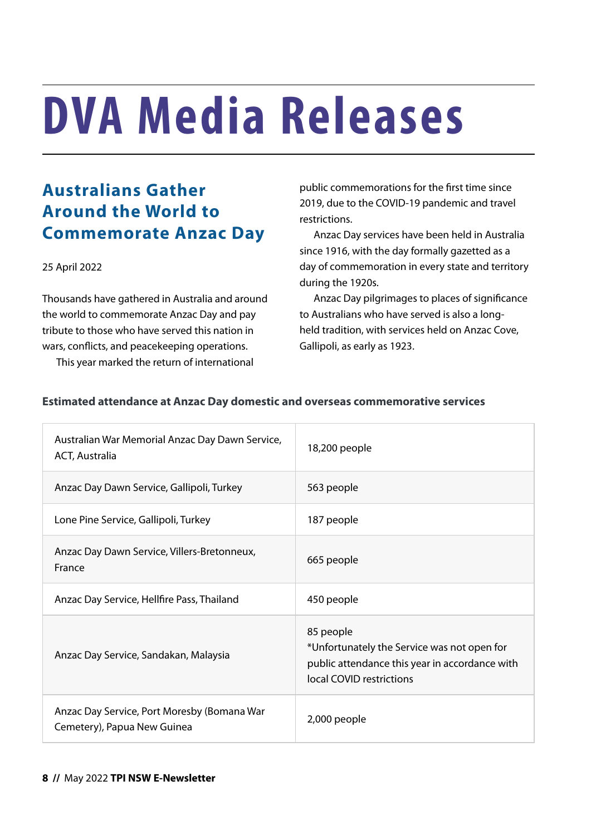# **DVA Media Releases**

### **Australians Gather Around the World to Commemorate Anzac Day**

### 25 April 2022

Thousands have gathered in Australia and around the world to commemorate Anzac Day and pay tribute to those who have served this nation in wars, conflicts, and peacekeeping operations.

This year marked the return of international

public commemorations for the first time since 2019, due to the COVID-19 pandemic and travel restrictions.

Anzac Day services have been held in Australia since 1916, with the day formally gazetted as a day of commemoration in every state and territory during the 1920s.

Anzac Day pilgrimages to places of significance to Australians who have served is also a longheld tradition, with services held on Anzac Cove, Gallipoli, as early as 1923.

| Australian War Memorial Anzac Day Dawn Service,<br>ACT, Australia          | 18,200 people                                                                                                                          |  |  |  |  |  |
|----------------------------------------------------------------------------|----------------------------------------------------------------------------------------------------------------------------------------|--|--|--|--|--|
| Anzac Day Dawn Service, Gallipoli, Turkey                                  | 563 people                                                                                                                             |  |  |  |  |  |
| Lone Pine Service, Gallipoli, Turkey                                       | 187 people                                                                                                                             |  |  |  |  |  |
| Anzac Day Dawn Service, Villers-Bretonneux,<br>France                      | 665 people                                                                                                                             |  |  |  |  |  |
| Anzac Day Service, Hellfire Pass, Thailand                                 | 450 people                                                                                                                             |  |  |  |  |  |
| Anzac Day Service, Sandakan, Malaysia                                      | 85 people<br>*Unfortunately the Service was not open for<br>public attendance this year in accordance with<br>local COVID restrictions |  |  |  |  |  |
| Anzac Day Service, Port Moresby (Bomana War<br>Cemetery), Papua New Guinea | 2,000 people                                                                                                                           |  |  |  |  |  |

### **Estimated attendance at Anzac Day domestic and overseas commemorative services**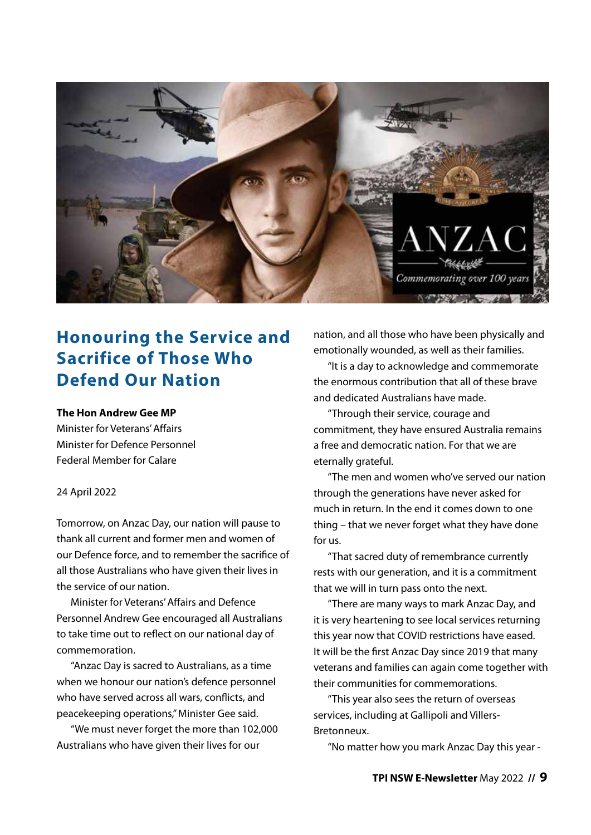

### **Honouring the Service and Sacrifice of Those Who Defend Our Nation**

### **The Hon Andrew Gee MP**

Minister for Veterans' Affairs Minister for Defence Personnel Federal Member for Calare

#### 24 April 2022

Tomorrow, on Anzac Day, our nation will pause to thank all current and former men and women of our Defence force, and to remember the sacrifice of all those Australians who have given their lives in the service of our nation.

Minister for Veterans' Affairs and Defence Personnel Andrew Gee encouraged all Australians to take time out to reflect on our national day of commemoration.

"Anzac Day is sacred to Australians, as a time when we honour our nation's defence personnel who have served across all wars, conflicts, and peacekeeping operations," Minister Gee said.

"We must never forget the more than 102,000 Australians who have given their lives for our

nation, and all those who have been physically and emotionally wounded, as well as their families.

"It is a day to acknowledge and commemorate the enormous contribution that all of these brave and dedicated Australians have made.

"Through their service, courage and commitment, they have ensured Australia remains a free and democratic nation. For that we are eternally grateful.

"The men and women who've served our nation through the generations have never asked for much in return. In the end it comes down to one thing – that we never forget what they have done for us.

"That sacred duty of remembrance currently rests with our generation, and it is a commitment that we will in turn pass onto the next.

"There are many ways to mark Anzac Day, and it is very heartening to see local services returning this year now that COVID restrictions have eased. It will be the first Anzac Day since 2019 that many veterans and families can again come together with their communities for commemorations.

"This year also sees the return of overseas services, including at Gallipoli and Villers-Bretonneux.

"No matter how you mark Anzac Day this year -